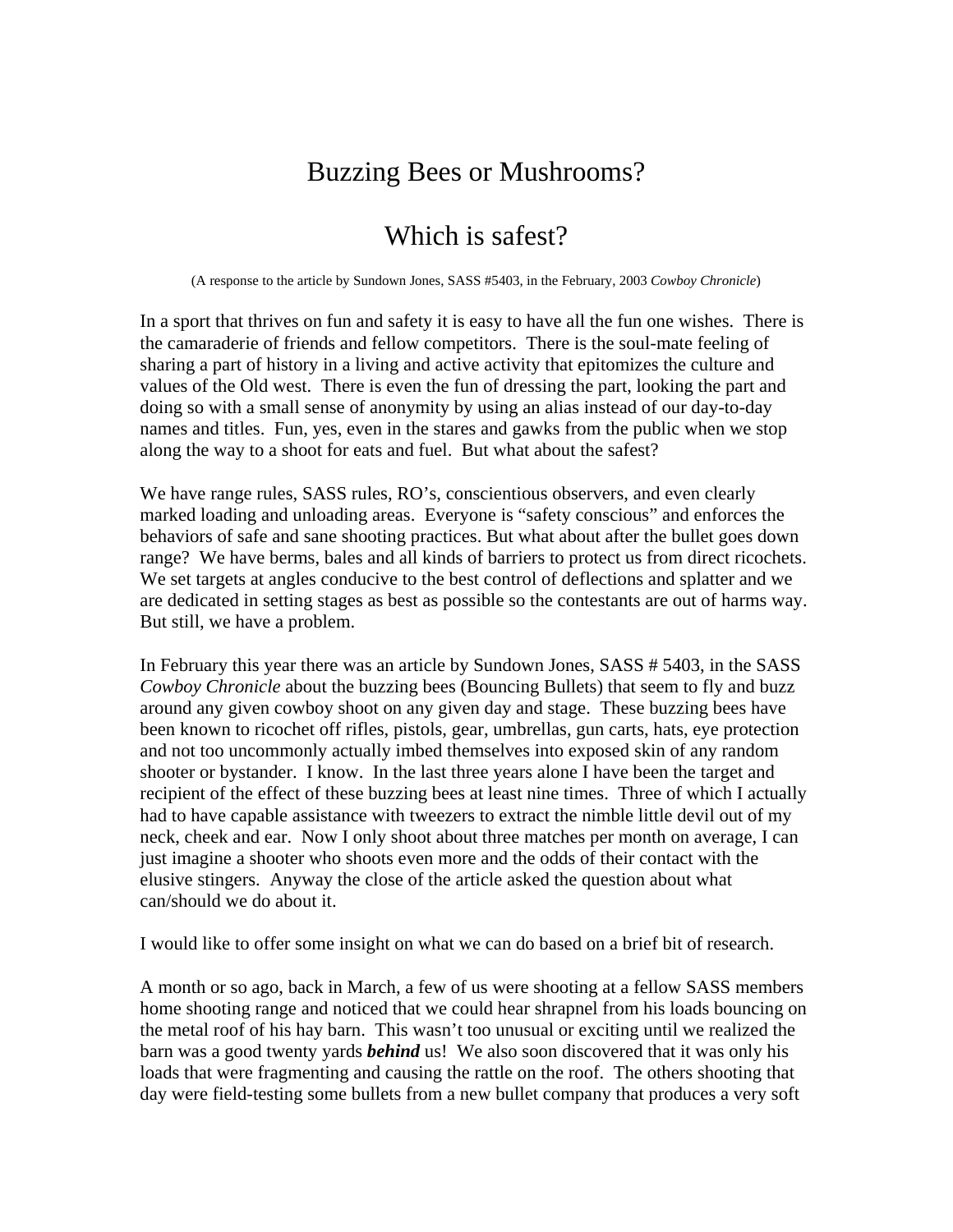## Buzzing Bees or Mushrooms?

## Which is safest?

(A response to the article by Sundown Jones, SASS #5403, in the February, 2003 *Cowboy Chronicle*)

In a sport that thrives on fun and safety it is easy to have all the fun one wishes. There is the camaraderie of friends and fellow competitors. There is the soul-mate feeling of sharing a part of history in a living and active activity that epitomizes the culture and values of the Old west. There is even the fun of dressing the part, looking the part and doing so with a small sense of anonymity by using an alias instead of our day-to-day names and titles. Fun, yes, even in the stares and gawks from the public when we stop along the way to a shoot for eats and fuel. But what about the safest?

We have range rules, SASS rules, RO's, conscientious observers, and even clearly marked loading and unloading areas. Everyone is "safety conscious" and enforces the behaviors of safe and sane shooting practices. But what about after the bullet goes down range? We have berms, bales and all kinds of barriers to protect us from direct ricochets. We set targets at angles conducive to the best control of deflections and splatter and we are dedicated in setting stages as best as possible so the contestants are out of harms way. But still, we have a problem.

In February this year there was an article by Sundown Jones, SASS # 5403, in the SASS *Cowboy Chronicle* about the buzzing bees (Bouncing Bullets) that seem to fly and buzz around any given cowboy shoot on any given day and stage. These buzzing bees have been known to ricochet off rifles, pistols, gear, umbrellas, gun carts, hats, eye protection and not too uncommonly actually imbed themselves into exposed skin of any random shooter or bystander. I know. In the last three years alone I have been the target and recipient of the effect of these buzzing bees at least nine times. Three of which I actually had to have capable assistance with tweezers to extract the nimble little devil out of my neck, cheek and ear. Now I only shoot about three matches per month on average, I can just imagine a shooter who shoots even more and the odds of their contact with the elusive stingers. Anyway the close of the article asked the question about what can/should we do about it.

I would like to offer some insight on what we can do based on a brief bit of research.

A month or so ago, back in March, a few of us were shooting at a fellow SASS members home shooting range and noticed that we could hear shrapnel from his loads bouncing on the metal roof of his hay barn. This wasn't too unusual or exciting until we realized the barn was a good twenty yards *behind* us! We also soon discovered that it was only his loads that were fragmenting and causing the rattle on the roof. The others shooting that day were field-testing some bullets from a new bullet company that produces a very soft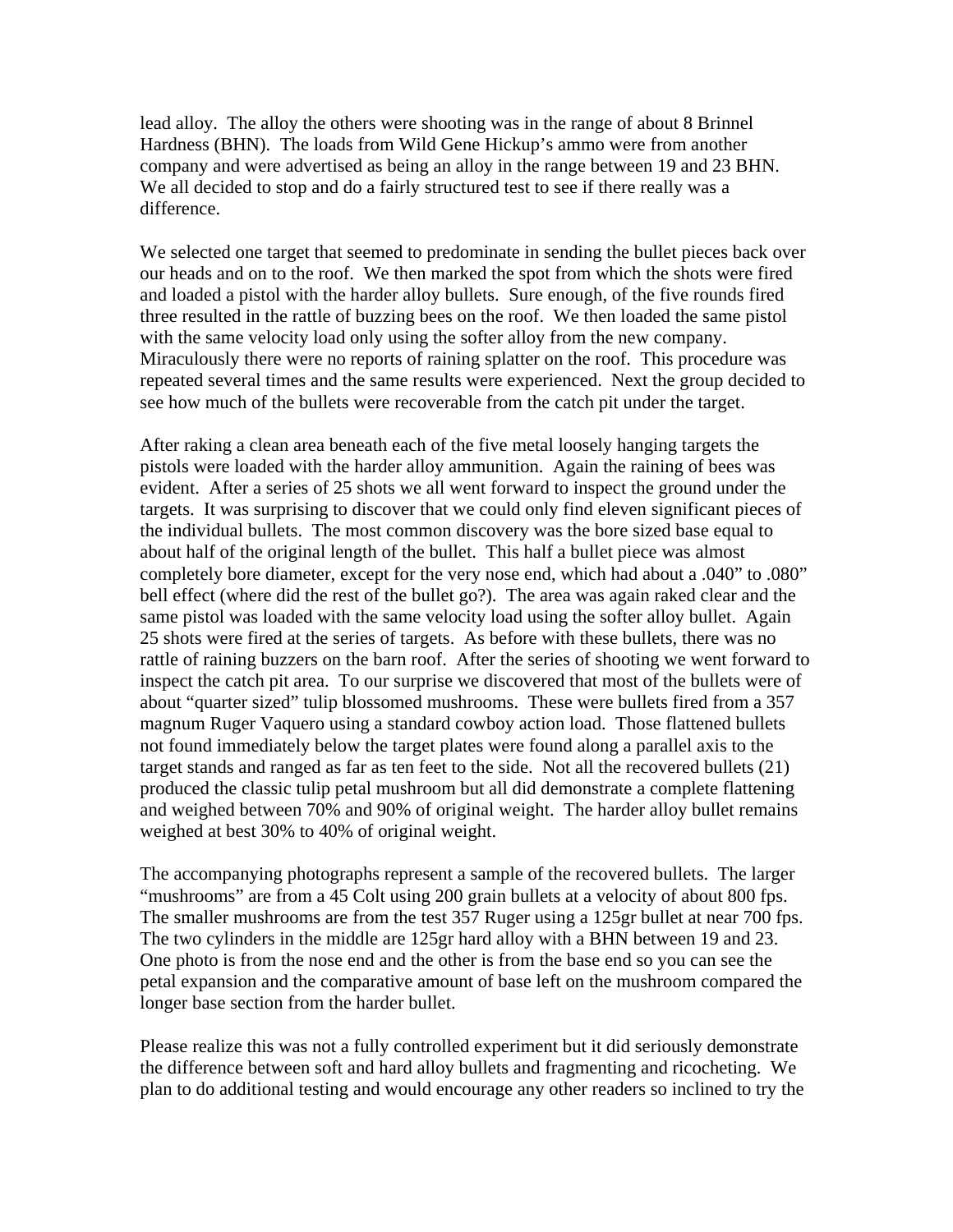lead alloy. The alloy the others were shooting was in the range of about 8 Brinnel Hardness (BHN). The loads from Wild Gene Hickup's ammo were from another company and were advertised as being an alloy in the range between 19 and 23 BHN. We all decided to stop and do a fairly structured test to see if there really was a difference.

We selected one target that seemed to predominate in sending the bullet pieces back over our heads and on to the roof. We then marked the spot from which the shots were fired and loaded a pistol with the harder alloy bullets. Sure enough, of the five rounds fired three resulted in the rattle of buzzing bees on the roof. We then loaded the same pistol with the same velocity load only using the softer alloy from the new company. Miraculously there were no reports of raining splatter on the roof. This procedure was repeated several times and the same results were experienced. Next the group decided to see how much of the bullets were recoverable from the catch pit under the target.

After raking a clean area beneath each of the five metal loosely hanging targets the pistols were loaded with the harder alloy ammunition. Again the raining of bees was evident. After a series of 25 shots we all went forward to inspect the ground under the targets. It was surprising to discover that we could only find eleven significant pieces of the individual bullets. The most common discovery was the bore sized base equal to about half of the original length of the bullet. This half a bullet piece was almost completely bore diameter, except for the very nose end, which had about a .040" to .080" bell effect (where did the rest of the bullet go?). The area was again raked clear and the same pistol was loaded with the same velocity load using the softer alloy bullet. Again 25 shots were fired at the series of targets. As before with these bullets, there was no rattle of raining buzzers on the barn roof. After the series of shooting we went forward to inspect the catch pit area. To our surprise we discovered that most of the bullets were of about "quarter sized" tulip blossomed mushrooms. These were bullets fired from a 357 magnum Ruger Vaquero using a standard cowboy action load. Those flattened bullets not found immediately below the target plates were found along a parallel axis to the target stands and ranged as far as ten feet to the side. Not all the recovered bullets (21) produced the classic tulip petal mushroom but all did demonstrate a complete flattening and weighed between 70% and 90% of original weight. The harder alloy bullet remains weighed at best 30% to 40% of original weight.

The accompanying photographs represent a sample of the recovered bullets. The larger "mushrooms" are from a 45 Colt using 200 grain bullets at a velocity of about 800 fps. The smaller mushrooms are from the test 357 Ruger using a 125gr bullet at near 700 fps. The two cylinders in the middle are 125gr hard alloy with a BHN between 19 and 23. One photo is from the nose end and the other is from the base end so you can see the petal expansion and the comparative amount of base left on the mushroom compared the longer base section from the harder bullet.

Please realize this was not a fully controlled experiment but it did seriously demonstrate the difference between soft and hard alloy bullets and fragmenting and ricocheting. We plan to do additional testing and would encourage any other readers so inclined to try the